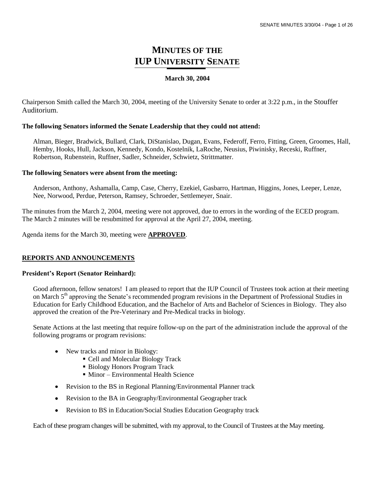# **MINUTES OF THE IUP UNIVERSITY SENATE**

#### **March 30, 2004**

Chairperson Smith called the March 30, 2004, meeting of the University Senate to order at 3:22 p.m., in the Stouffer Auditorium.

#### **The following Senators informed the Senate Leadership that they could not attend:**

Alman, Bieger, Bradwick, Bullard, Clark, DiStanislao, Dugan, Evans, Federoff, Ferro, Fitting, Green, Groomes, Hall, Hemby, Hooks, Hull, Jackson, Kennedy, Kondo, Kostelnik, LaRoche, Neusius, Piwinisky, Receski, Ruffner, Robertson, Rubenstein, Ruffner, Sadler, Schneider, Schwietz, Strittmatter.

#### **The following Senators were absent from the meeting:**

Anderson, Anthony, Ashamalla, Camp, Case, Cherry, Ezekiel, Gasbarro, Hartman, Higgins, Jones, Leeper, Lenze, Nee, Norwood, Perdue, Peterson, Ramsey, Schroeder, Settlemeyer, Snair.

The minutes from the March 2, 2004, meeting were not approved, due to errors in the wording of the ECED program. The March 2 minutes will be resubmitted for approval at the April 27, 2004, meeting.

Agenda items for the March 30, meeting were **APPROVED**.

#### **REPORTS AND ANNOUNCEMENTS**

#### **President's Report (Senator Reinhard):**

Good afternoon, fellow senators! I am pleased to report that the IUP Council of Trustees took action at their meeting on March 5<sup>th</sup> approving the Senate's recommended program revisions in the Department of Professional Studies in Education for Early Childhood Education, and the Bachelor of Arts and Bachelor of Sciences in Biology. They also approved the creation of the Pre-Veterinary and Pre-Medical tracks in biology.

Senate Actions at the last meeting that require follow-up on the part of the administration include the approval of the following programs or program revisions:

- New tracks and minor in Biology:  $\bullet$ 
	- Cell and Molecular Biology Track
	- Biology Honors Program Track
	- Minor Environmental Health Science
- Revision to the BS in Regional Planning/Environmental Planner track
- Revision to the BA in Geography/Environmental Geographer track
- Revision to BS in Education/Social Studies Education Geography track

Each of these program changes will be submitted, with my approval, to the Council of Trustees at the May meeting.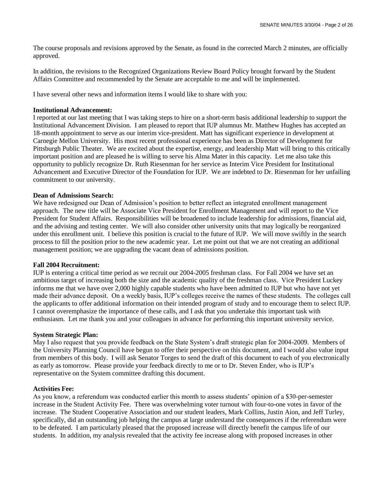The course proposals and revisions approved by the Senate, as found in the corrected March 2 minutes, are officially approved.

In addition, the revisions to the Recognized Organizations Review Board Policy brought forward by the Student Affairs Committee and recommended by the Senate are acceptable to me and will be implemented.

I have several other news and information items I would like to share with you:

#### **Institutional Advancement:**

I reported at our last meeting that I was taking steps to hire on a short-term basis additional leadership to support the Institutional Advancement Division. I am pleased to report that IUP alumnus Mr. Matthew Hughes has accepted an 18-month appointment to serve as our interim vice-president. Matt has significant experience in development at Carnegie Mellon University. His most recent professional experience has been as Director of Development for Pittsburgh Public Theater. We are excited about the expertise, energy, and leadership Matt will bring to this critically important position and are pleased he is willing to serve his Alma Mater in this capacity. Let me also take this opportunity to publicly recognize Dr. Ruth Riesenman for her service as Interim Vice President for Institutional Advancement and Executive Director of the Foundation for IUP. We are indebted to Dr. Riesenman for her unfailing commitment to our university.

#### **Dean of Admissions Search:**

We have redesigned our Dean of Admission's position to better reflect an integrated enrollment management approach. The new title will be Associate Vice President for Enrollment Management and will report to the Vice President for Student Affairs. Responsibilities will be broadened to include leadership for admissions, financial aid, and the advising and testing center. We will also consider other university units that may logically be reorganized under this enrollment unit. I believe this position is crucial to the future of IUP. We will move swiftly in the search process to fill the position prior to the new academic year. Let me point out that we are not creating an additional management position; we are upgrading the vacant dean of admissions position.

#### **Fall 2004 Recruitment:**

IUP is entering a critical time period as we recruit our 2004-2005 freshman class. For Fall 2004 we have set an ambitious target of increasing both the size and the academic quality of the freshman class. Vice President Luckey informs me that we have over 2,000 highly capable students who have been admitted to IUP but who have not yet made their advance deposit. On a weekly basis, IUP's colleges receive the names of these students. The colleges call the applicants to offer additional information on their intended program of study and to encourage them to select IUP. I cannot overemphasize the importance of these calls, and I ask that you undertake this important task with enthusiasm. Let me thank you and your colleagues in advance for performing this important university service.

#### **System Strategic Plan:**

May I also request that you provide feedback on the State System's draft strategic plan for 2004-2009. Members of the University Planning Council have begun to offer their perspective on this document, and I would also value input from members of this body. I will ask Senator Torges to send the draft of this document to each of you electronically as early as tomorrow. Please provide your feedback directly to me or to Dr. Steven Ender, who is IUP's representative on the System committee drafting this document.

#### **Activities Fee:**

As you know, a referendum was conducted earlier this month to assess students' opinion of a \$30-per-semester increase in the Student Activity Fee. There was overwhelming voter turnout with four-to-one votes in favor of the increase. The Student Cooperative Association and our student leaders, Mark Collins, Justin Aion, and Jeff Turley, specifically, did an outstanding job helping the campus at large understand the consequences if the referendum were to be defeated. I am particularly pleased that the proposed increase will directly benefit the campus life of our students. In addition, my analysis revealed that the activity fee increase along with proposed increases in other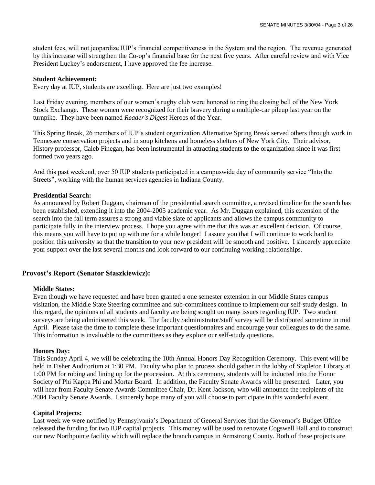student fees, will not jeopardize IUP's financial competitiveness in the System and the region. The revenue generated by this increase will strengthen the Co-op's financial base for the next five years. After careful review and with Vice President Luckey's endorsement, I have approved the fee increase.

#### **Student Achievement:**

Every day at IUP, students are excelling. Here are just two examples!

Last Friday evening, members of our women's rugby club were honored to ring the closing bell of the New York Stock Exchange. These women were recognized for their bravery during a multiple-car pileup last year on the turnpike. They have been named *Reader's Digest* Heroes of the Year.

This Spring Break, 26 members of IUP's student organization Alternative Spring Break served others through work in Tennessee conservation projects and in soup kitchens and homeless shelters of New York City. Their advisor, History professor, Caleb Finegan, has been instrumental in attracting students to the organization since it was first formed two years ago.

And this past weekend, over 50 IUP students participated in a campuswide day of community service "Into the Streets", working with the human services agencies in Indiana County.

#### **Presidential Search:**

As announced by Robert Duggan, chairman of the presidential search committee, a revised timeline for the search has been established, extending it into the 2004-2005 academic year. As Mr. Duggan explained, this extension of the search into the fall term assures a strong and viable slate of applicants and allows the campus community to participate fully in the interview process. I hope you agree with me that this was an excellent decision. Of course, this means you will have to put up with me for a while longer! I assure you that I will continue to work hard to position this university so that the transition to your new president will be smooth and positive. I sincerely appreciate your support over the last several months and look forward to our continuing working relationships.

#### **Provost's Report (Senator Staszkiewicz):**

#### **Middle States:**

Even though we have requested and have been granted a one semester extension in our Middle States campus visitation, the Middle State Steering committee and sub-committees continue to implement our self-study design. In this regard, the opinions of all students and faculty are being sought on many issues regarding IUP. Two student surveys are being administered this week. The faculty /administrator/staff survey will be distributed sometime in mid April. Please take the time to complete these important questionnaires and encourage your colleagues to do the same. This information is invaluable to the committees as they explore our self-study questions.

#### **Honors Day:**

This Sunday April 4, we will be celebrating the 10th Annual Honors Day Recognition Ceremony. This event will be held in Fisher Auditorium at 1:30 PM. Faculty who plan to process should gather in the lobby of Stapleton Library at 1:00 PM for robing and lining up for the procession. At this ceremony, students will be inducted into the Honor Society of Phi Kappa Phi and Mortar Board. In addition, the Faculty Senate Awards will be presented. Later, you will hear from Faculty Senate Awards Committee Chair, Dr. Kent Jackson, who will announce the recipients of the 2004 Faculty Senate Awards. I sincerely hope many of you will choose to participate in this wonderful event.

#### **Capital Projects:**

Last week we were notified by Pennsylvania's Department of General Services that the Governor's Budget Office released the funding for two IUP capital projects. This money will be used to renovate Cogswell Hall and to construct our new Northpointe facility which will replace the branch campus in Armstrong County. Both of these projects are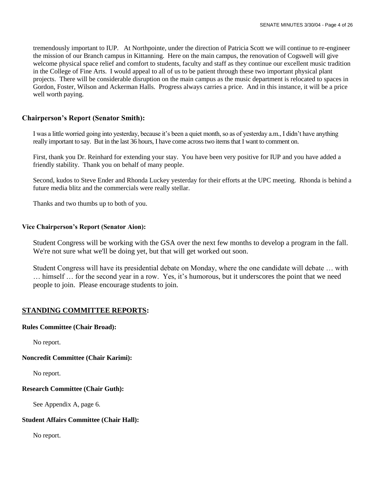tremendously important to IUP. At Northpointe, under the direction of Patricia Scott we will continue to re-engineer the mission of our Branch campus in Kittanning. Here on the main campus, the renovation of Cogswell will give welcome physical space relief and comfort to students, faculty and staff as they continue our excellent music tradition in the College of Fine Arts. I would appeal to all of us to be patient through these two important physical plant projects. There will be considerable disruption on the main campus as the music department is relocated to spaces in Gordon, Foster, Wilson and Ackerman Halls. Progress always carries a price. And in this instance, it will be a price well worth paying.

### **Chairperson's Report (Senator Smith):**

I was a little worried going into yesterday, because it's been a quiet month, so as of yesterday a.m., I didn't have anything really important to say. But in the last 36 hours, I have come across two items that I want to comment on.

First, thank you Dr. Reinhard for extending your stay. You have been very positive for IUP and you have added a friendly stability. Thank you on behalf of many people.

Second, kudos to Steve Ender and Rhonda Luckey yesterday for their efforts at the UPC meeting. Rhonda is behind a future media blitz and the commercials were really stellar.

Thanks and two thumbs up to both of you.

#### **Vice Chairperson's Report (Senator Aion):**

Student Congress will be working with the GSA over the next few months to develop a program in the fall. We're not sure what we'll be doing yet, but that will get worked out soon.

Student Congress will have its presidential debate on Monday, where the one candidate will debate … with … himself … for the second year in a row. Yes, it's humorous, but it underscores the point that we need people to join. Please encourage students to join.

#### **STANDING COMMITTEE REPORTS:**

#### **Rules Committee (Chair Broad):**

No report.

**Noncredit Committee (Chair Karimi):**

No report.

#### **Research Committee (Chair Guth):**

See Appendix A, page 6.

#### **Student Affairs Committee (Chair Hall):**

No report.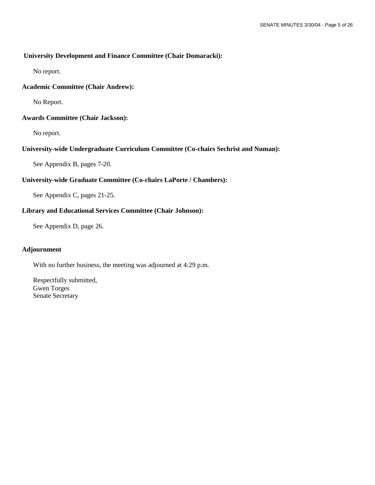#### **University Development and Finance Committee (Chair Domaracki):**

No report.

#### **Academic Committee (Chair Andrew):**

No Report.

### **Awards Committee (Chair Jackson):**

No report.

### **University-wide Undergraduate Curriculum Committee (Co-chairs Sechrist and Numan):**

See Appendix B, pages 7-20.

### **University-wide Graduate Committee (Co-chairs LaPorte / Chambers):**

See Appendix C, pages 21-25.

### **Library and Educational Services Committee (Chair Johnson):**

See Appendix D, page 26.

#### **Adjournment**

With no further business, the meeting was adjourned at 4:29 p.m.

Respectfully submitted, Gwen Torges Senate Secretary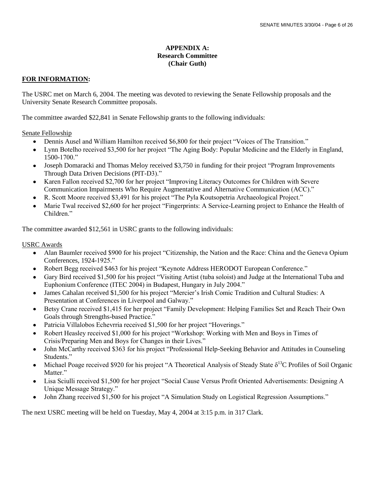#### **APPENDIX A: Research Committee (Chair Guth)**

### **FOR INFORMATION:**

The USRC met on March 6, 2004. The meeting was devoted to reviewing the Senate Fellowship proposals and the University Senate Research Committee proposals.

The committee awarded \$22,841 in Senate Fellowship grants to the following individuals:

Senate Fellowship

- Dennis Ausel and William Hamilton received \$6,800 for their project "Voices of The Transition."  $\bullet$
- Lynn Botelho received \$3,500 for her project "The Aging Body: Popular Medicine and the Elderly in England, 1500-1700."
- Joseph Domaracki and Thomas Meloy received \$3,750 in funding for their project "Program Improvements Through Data Driven Decisions (PIT-D3)."
- Karen Fallon received \$2,700 for her project "Improving Literacy Outcomes for Children with Severe Communication Impairments Who Require Augmentative and Alternative Communication (ACC)."
- R. Scott Moore received \$3,491 for his project "The Pyla Koutsopetria Archaeological Project."
- Marie Twal received \$2,600 for her project "Fingerprints: A Service-Learning project to Enhance the Health of Children<sup>"</sup>

The committee awarded \$12,561 in USRC grants to the following individuals:

USRC Awards

- Alan Baumler received \$900 for his project "Citizenship, the Nation and the Race: China and the Geneva Opium  $\bullet$ Conferences, 1924-1925."
- $\bullet$ Robert Begg received \$463 for his project "Keynote Address HERODOT European Conference."
- Gary Bird received \$1,500 for his project "Visiting Artist (tuba soloist) and Judge at the International Tuba and Euphonium Conference (ITEC 2004) in Budapest, Hungary in July 2004."
- James Cahalan received \$1,500 for his project "Mercier's Irish Comic Tradition and Cultural Studies: A  $\bullet$ Presentation at Conferences in Liverpool and Galway."
- Betsy Crane received \$1,415 for her project "Family Development: Helping Families Set and Reach Their Own  $\bullet$ Goals through Strengths-based Practice."
- Patricia Villalobos Echevrria received \$1,500 for her project "Hoverings."
- Robert Heasley received \$1,000 for his project "Workshop: Working with Men and Boys in Times of Crisis/Preparing Men and Boys for Changes in their Lives."
- John McCarthy received \$363 for his project "Professional Help-Seeking Behavior and Attitudes in Counseling Students."
- Michael Poage received \$920 for his project "A Theoretical Analysis of Steady State  $\delta^{13}$ C Profiles of Soil Organic Matter."
- Lisa Sciulli received \$1,500 for her project "Social Cause Versus Profit Oriented Advertisements: Designing A Unique Message Strategy."
- John Zhang received \$1,500 for his project "A Simulation Study on Logistical Regression Assumptions."

The next USRC meeting will be held on Tuesday, May 4, 2004 at 3:15 p.m. in 317 Clark.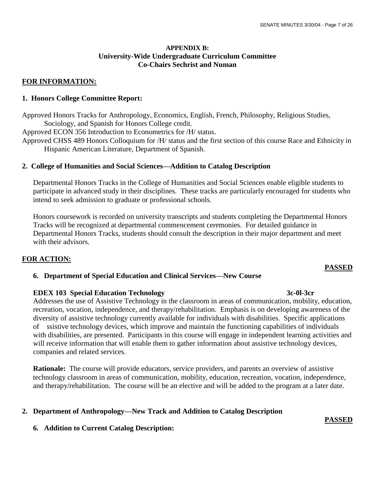### **APPENDIX B: University-Wide Undergraduate Curriculum Committee Co-Chairs Sechrist and Numan**

### **FOR INFORMATION:**

#### **1. Honors College Committee Report:**

Approved Honors Tracks for Anthropology, Economics, English, French, Philosophy, Religious Studies, Sociology, and Spanish for Honors College credit.

Approved ECON 356 Introduction to Econometrics for /H/ status.

Approved CHSS 489 Honors Colloquium for /H/ status and the first section of this course Race and Ethnicity in Hispanic American Literature, Department of Spanish.

#### **2. College of Humanities and Social Sciences—Addition to Catalog Description**

Departmental Honors Tracks in the College of Humanities and Social Sciences enable eligible students to participate in advanced study in their disciplines. These tracks are particularly encouraged for students who intend to seek admission to graduate or professional schools.

Honors coursework is recorded on university transcripts and students completing the Departmental Honors Tracks will be recognized at departmental commencement ceremonies. For detailed guidance in Departmental Honors Tracks, students should consult the description in their major department and meet with their advisors.

### **FOR ACTION:**

## **6. Department of Special Education and Clinical Services—New Course**

#### **EDEX 103 Special Education Technology** 3c-0l-3cr

Addresses the use of Assistive Technology in the classroom in areas of communication, mobility, education, recreation, vocation, independence, and therapy/rehabilitation. Emphasis is on developing awareness of the diversity of assistive technology currently available for individuals with disabilities. Specific applications of ssistive technology devices, which improve and maintain the functioning capabilities of individuals with disabilities, are presented. Participants in this course will engage in independent learning activities and will receive information that will enable them to gather information about assistive technology devices, companies and related services.

**Rationale:** The course will provide educators, service providers, and parents an overview of assistive technology classroom in areas of communication, mobility, education, recreation, vocation, independence, and therapy/rehabilitation. The course will be an elective and will be added to the program at a later date.

## **2. Department of Anthropology—New Track and Addition to Catalog Description**

#### **6. Addition to Current Catalog Description:**

**PASSED**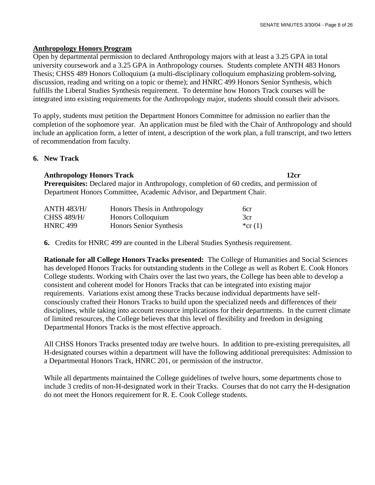### **Anthropology Honors Program**

Open by departmental permission to declared Anthropology majors with at least a 3.25 GPA in total university coursework and a 3.25 GPA in Anthropology courses. Students complete ANTH 483 Honors Thesis; CHSS 489 Honors Colloquium (a multi-disciplinary colloquium emphasizing problem-solving, discussion, reading and writing on a topic or theme); and HNRC 499 Honors Senior Synthesis, which fulfills the Liberal Studies Synthesis requirement. To determine how Honors Track courses will be integrated into existing requirements for the Anthropology major, students should consult their advisors.

To apply, students must petition the Department Honors Committee for admission no earlier than the completion of the sophomore year. An application must be filed with the Chair of Anthropology and should include an application form, a letter of intent, a description of the work plan, a full transcript, and two letters of recommendation from faculty.

### **6. New Track**

### **Anthropology Honors Track 12cr**

**Prerequisites:** Declared major in Anthropology, completion of 60 credits, and permission of Department Honors Committee, Academic Advisor, and Department Chair.

| <b>ANTH 483/H/</b> | Honors Thesis in Anthropology | 6cr       |
|--------------------|-------------------------------|-----------|
| <b>CHSS 489/H/</b> | Honors Colloquium             | 3cr       |
| <b>HNRC 499</b>    | Honors Senior Synthesis       | *cr $(1)$ |

**6.** Credits for HNRC 499 are counted in the Liberal Studies Synthesis requirement.

 **Rationale for all College Honors Tracks presented:** The College of Humanities and Social Sciences has developed Honors Tracks for outstanding students in the College as well as Robert E. Cook Honors College students. Working with Chairs over the last two years, the College has been able to develop a consistent and coherent model for Honors Tracks that can be integrated into existing major requirements. Variations exist among these Tracks because individual departments have self consciously crafted their Honors Tracks to build upon the specialized needs and differences of their disciplines, while taking into account resource implications for their departments. In the current climate of limited resources, the College believes that this level of flexibility and freedom in designing Departmental Honors Tracks is the most effective approach.

 All CHSS Honors Tracks presented today are twelve hours. In addition to pre-existing prerequisites, all H-designated courses within a department will have the following additional prerequisites: Admission to a Departmental Honors Track, HNRC 201, or permission of the instructor.

 While all departments maintained the College guidelines of twelve hours, some departments chose to include 3 credits of non-H-designated work in their Tracks. Courses that do not carry the H-designation do not meet the Honors requirement for R. E. Cook College students.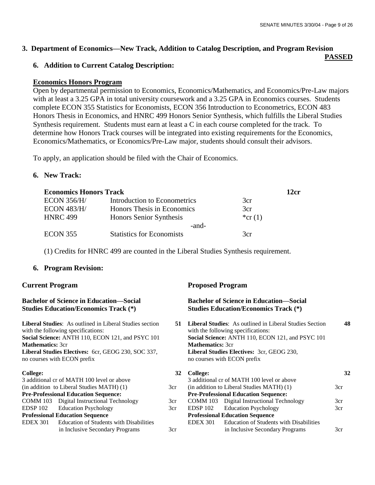#### **3. Department of Economics—New Track, Addition to Catalog Description, and Program Revision PASSED**

## **6. Addition to Current Catalog Description:**

## **Economics Honors Program**

Open by departmental permission to Economics, Economics/Mathematics, and Economics/Pre-Law majors with at least a 3.25 GPA in total university coursework and a 3.25 GPA in Economics courses. Students complete ECON 355 Statistics for Economists, ECON 356 Introduction to Econometrics, ECON 483 Honors Thesis in Economics, and HNRC 499 Honors Senior Synthesis, which fulfills the Liberal Studies Synthesis requirement. Students must earn at least a C in each course completed for the track. To determine how Honors Track courses will be integrated into existing requirements for the Economics, Economics/Mathematics, or Economics/Pre-Law major, students should consult their advisors.

To apply, an application should be filed with the Chair of Economics.

# **6. New Track:**

| <b>Economics Honors Track</b> |                                  |           | 12cr |
|-------------------------------|----------------------------------|-----------|------|
| ECON 356/H/                   | Introduction to Econometrics     | 3cr       |      |
| <b>ECON 483/H/</b>            | Honors Thesis in Economics       | 3cr       |      |
| <b>HNRC 499</b>               | Honors Senior Synthesis          | *cr $(1)$ |      |
|                               | -and-                            |           |      |
| <b>ECON 355</b>               | <b>Statistics for Economists</b> | 3cr       |      |

(1) Credits for HNRC 499 are counted in the Liberal Studies Synthesis requirement.

# **6. Program Revision:**

#### **Bachelor of Science in Education—Social Studies Education/Economics Track (\*)**

**Liberal Studies**: As outlined in Liberal Studies section with the following specifications: **Social Science:** ANTH 110, ECON 121, and PSYC 101 **Mathematics:** 3cr **Liberal Studies Electives:** 6cr, GEOG 230, SOC 337, no courses with ECON prefix

| 3 additional cr of MATH 100 level or above              |
|---------------------------------------------------------|
| (in addition to Liberal Studies MATH) (1)               |
| <b>Pre-Professional Education Sequence:</b>             |
| COMM 103 Digital Instructional Technology               |
| EDSP 102 Education Psychology                           |
| <b>Professional Education Sequence</b>                  |
| <b>EDEX 301</b> Education of Students with Disabilities |
| in Inclusive Secondary Programs                         |
|                                                         |

# **Current Program Proposed Program**

|   |     |                                             | <b>Bachelor of Science in Education—Social</b><br><b>Studies Education/Economics Track (*)</b> |     |
|---|-----|---------------------------------------------|------------------------------------------------------------------------------------------------|-----|
|   | 51  | with the following specifications:          | <b>Liberal Studies:</b> As outlined in Liberal Studies Section                                 | 48  |
| 1 |     | <b>Mathematics:</b> 3cr                     | Social Science: ANTH 110, ECON 121, and PSYC 101                                               |     |
|   |     | no courses with ECON prefix                 | <b>Liberal Studies Electives: 3cr, GEOG 230,</b>                                               |     |
|   | 32  | College:                                    |                                                                                                | 32  |
|   |     |                                             | 3 additional cr of MATH 100 level or above                                                     |     |
|   | 3cr |                                             | (in addition to Liberal Studies MATH) (1)                                                      | 3cr |
|   |     | <b>Pre-Professional Education Sequence:</b> |                                                                                                |     |
|   | 3cr |                                             | COMM 103 Digital Instructional Technology                                                      | 3cr |
|   | 3cr | EDSP 102                                    | <b>Education Psychology</b>                                                                    | 3cr |
|   |     | <b>Professional Education Sequence</b>      |                                                                                                |     |
|   |     | EDEX 301                                    | Education of Students with Disabilities                                                        |     |
|   | 3cr |                                             | in Inclusive Secondary Programs                                                                | 3cr |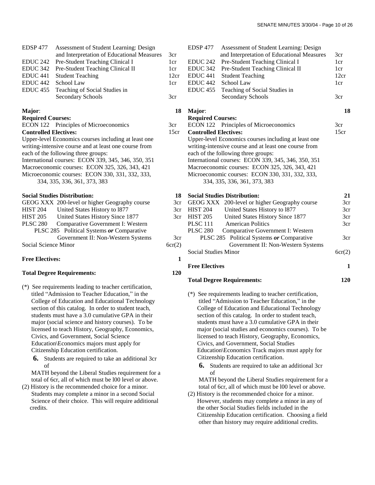| EDSP 477 Assessment of Student Learning: Design |      |
|-------------------------------------------------|------|
| and Interpretation of Educational Measures      | 3cr  |
| EDUC 242 Pre-Student Teaching Clinical I        | 1cr  |
| EDUC 342 Pre-Student Teaching Clinical II       | 1cr  |
| EDUC 441 Student Teaching                       | 12cr |
| EDUC 442 School Law                             | 1cr  |
| EDUC 455 Teaching of Social Studies in          |      |
| Secondary Schools                               | 3cr  |
|                                                 |      |

#### **Major**:

#### **Required Courses:**

|                              | ECON 122 Principles of Microeconomics                |
|------------------------------|------------------------------------------------------|
| <b>Controlled Electives:</b> |                                                      |
|                              | Upper-level Economics courses including at least one |

writing-intensive course and at least one course from each of the following three groups: International courses: ECON 339, 345, 346, 350, 351

Macroeconomic courses: ECON 325, 326, 343, 421

Microeconomic courses: ECON 330, 331, 332, 333, 334, 335, 336, 361, 373, 383

**Social Studies Distribution:** 

|                      | GEOG XXX 200-level or higher Geography course | 3с:    |
|----------------------|-----------------------------------------------|--------|
| <b>HIST 204</b>      | United States History to 1877                 | 3cı    |
| <b>HIST 205</b>      | United States History Since 1877              | 3cı    |
| <b>PLSC 280</b>      | Comparative Government I: Western             |        |
|                      | PLSC 285 Political Systems or Comparative     |        |
|                      | Government II: Non-Western Systems            | 3cı    |
| Social Science Minor |                                               | 6cr(2) |

#### **Free Electives:**

#### **Total Degree Requirements:**

- (\*) See requirements leading to teacher certification, titled "Admission to Teacher Education," in the College of Education and Educational Technology section of this catalog. In order to student teach, students must have a 3.0 cumulative GPA in their major (social science and history courses). To be licensed to teach History, Geography, Economics, Civics, and Government, Social Science Education\Economics majors must apply for Citizenship Education certification.
	- **6.** Students are required to take an additional 3cr of

 MATH beyond the Liberal Studies requirement for a total of 6cr, all of which must be l00 level or above.

(2) History is the recommended choice for a minor. Students may complete a minor in a second Social Science of their choice. This will require additional credits.

|      | EDSP <sub>477</sub>          | Assessment of Student Learning: Design                |      |
|------|------------------------------|-------------------------------------------------------|------|
| 3cr  |                              | and Interpretation of Educational Measures            | 3cr  |
| 1cr  | EDUC <sub>242</sub>          | Pre-Student Teaching Clinical I                       | 1cr  |
| 1cr  | EDUC <sub>342</sub>          | Pre-Student Teaching Clinical II                      | 1cr  |
| 12cr | EDUC 441                     | <b>Student Teaching</b>                               | 12cr |
| 1cr  | EDUC <sub>442</sub>          | School Law                                            | 1cr  |
|      | EDUC <sub>455</sub>          | Teaching of Social Studies in                         |      |
| 3cr  |                              | <b>Secondary Schools</b>                              | 3cr  |
| 18   | Major:                       |                                                       | 18   |
|      | <b>Required Courses:</b>     |                                                       |      |
| 3cr  |                              | ECON 122 Principles of Microeconomics                 | 3cr  |
| 15cr | <b>Controlled Electives:</b> |                                                       | 15cr |
|      |                              | Upper-level Economics courses including at least one  |      |
|      |                              | writing-intensive course and at least one course from |      |
|      |                              | each of the following three groups:                   |      |
|      |                              | International courses: ECON 339, 345, 346, 350, 351   |      |
|      |                              | Macroeconomic courses: ECON 325, 326, 343, 421        |      |
|      |                              | Microeconomic courses: ECON 330, 331, 332, 333,       |      |
|      |                              | 334, 335, 336, 361, 373, 383                          |      |
| 18   |                              | <b>Social Studies Distribution:</b>                   | 21   |
| 3cr  |                              | GEOG XXX 200-level or higher Geography course         | 3cr  |
| 3cr  | <b>HIST 204</b>              | <b>Holited States History to 1877</b>                 | 3cr  |

|      |                      | 3cr GEOG XXX 200-level or higher Geography course | 3cr    |
|------|----------------------|---------------------------------------------------|--------|
| 3cr  | <b>HIST 204</b>      | United States History to 1877                     | 3cr    |
| 3cr  | <b>HIST 205</b>      | United States History Since 1877                  | 3cr    |
|      | <b>PLSC 111</b>      | <b>American Politics</b>                          | 3cr    |
|      | <b>PLSC 280</b>      | Comparative Government I: Western                 |        |
| 3cr  |                      | PLSC 285 Political Systems or Comparative         | 3cr    |
| r(2) |                      | Government II: Non-Western Systems                |        |
|      | Social Studies Minor |                                                   | 6cr(2) |
|      |                      |                                                   |        |

**1**

**120**

#### **Free Electives**

#### **Total Degree Requirements:**

- (\*) See requirements leading to teacher certification, titled "Admission to Teacher Education," in the College of Education and Educational Technology section of this catalog. In order to student teach, students must have a 3.0 cumulative GPA in their major (social studies and economics courses). To be licensed to teach History, Geography, Economics, Civics, and Government, Social Studies Education\Economics Track majors must apply for Citizenship Education certification.
	- **6.** Students are required to take an additional 3cr of

 MATH beyond the Liberal Studies requirement for a total of 6cr, all of which must be l00 level or above.

(2) History is the recommended choice for a minor. However, students may complete a minor in any of the other Social Studies fields included in the Citizenship Education certification. Choosing a field other than history may require additional credits.

**120**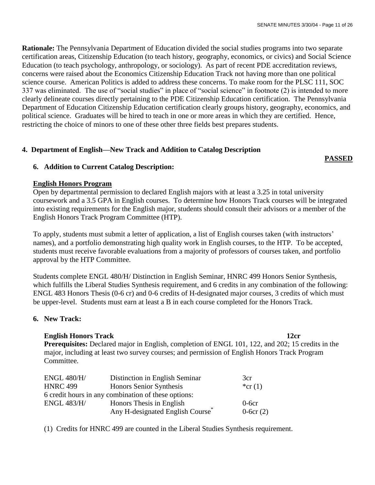**Rationale:** The Pennsylvania Department of Education divided the social studies programs into two separate certification areas, Citizenship Education (to teach history, geography, economics, or civics) and Social Science Education (to teach psychology, anthropology, or sociology). As part of recent PDE accreditation reviews, concerns were raised about the Economics Citizenship Education Track not having more than one political science course. American Politics is added to address these concerns. To make room for the PLSC 111, SOC 337 was eliminated. The use of "social studies" in place of "social science" in footnote (2) is intended to more clearly delineate courses directly pertaining to the PDE Citizenship Education certification. The Pennsylvania Department of Education Citizenship Education certification clearly groups history, geography, economics, and political science. Graduates will be hired to teach in one or more areas in which they are certified. Hence, restricting the choice of minors to one of these other three fields best prepares students.

# **4. Department of English—New Track and Addition to Catalog Description**

# **PASSED**

# **6. Addition to Current Catalog Description:**

# **English Honors Program**

Open by departmental permission to declared English majors with at least a 3.25 in total university coursework and a 3.5 GPA in English courses. To determine how Honors Track courses will be integrated into existing requirements for the English major, students should consult their advisors or a member of the English Honors Track Program Committee (HTP).

To apply, students must submit a letter of application, a list of English courses taken (with instructors' names), and a portfolio demonstrating high quality work in English courses, to the HTP. To be accepted, students must receive favorable evaluations from a majority of professors of courses taken, and portfolio approval by the HTP Committee.

Students complete ENGL 480/H/ Distinction in English Seminar, HNRC 499 Honors Senior Synthesis, which fulfills the Liberal Studies Synthesis requirement, and 6 credits in any combination of the following: ENGL 483 Honors Thesis (0-6 cr) and 0-6 credits of H-designated major courses, 3 credits of which must be upper-level. Students must earn at least a B in each course completed for the Honors Track.

# **6. New Track:**

# **English Honors Track 12cr**

**Prerequisites:** Declared major in English, completion of ENGL 101, 122, and 202; 15 credits in the major, including at least two survey courses; and permission of English Honors Track Program Committee.

| <b>ENGL 480/H/</b> | Distinction in English Seminar                      | 3cr         |
|--------------------|-----------------------------------------------------|-------------|
| <b>HNRC 499</b>    | Honors Senior Synthesis                             | *cr $(1)$   |
|                    | 6 credit hours in any combination of these options: |             |
| <b>ENGL 483/H/</b> | Honors Thesis in English                            | $0$ -6 $cr$ |
|                    | Any H-designated English Course <sup>*</sup>        | $0-6cr(2)$  |

(1) Credits for HNRC 499 are counted in the Liberal Studies Synthesis requirement.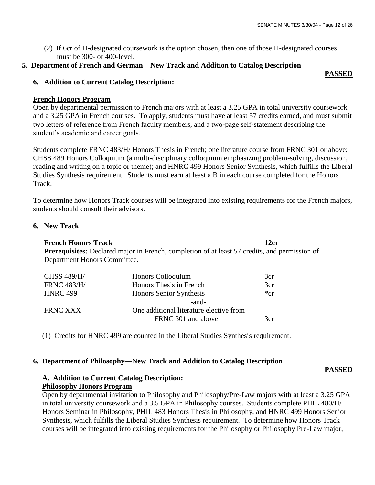(2) If 6cr of H-designated coursework is the option chosen, then one of those H-designated courses must be 300- or 400-level.

# **5. Department of French and German—New Track and Addition to Catalog Description**

#### **PASSED**

# **6. Addition to Current Catalog Description:**

### **French Honors Program**

Open by departmental permission to French majors with at least a 3.25 GPA in total university coursework and a 3.25 GPA in French courses. To apply, students must have at least 57 credits earned, and must submit two letters of reference from French faculty members, and a two-page self-statement describing the student's academic and career goals.

Students complete FRNC 483/H/ Honors Thesis in French; one literature course from FRNC 301 or above; CHSS 489 Honors Colloquium (a multi-disciplinary colloquium emphasizing problem-solving, discussion, reading and writing on a topic or theme); and HNRC 499 Honors Senior Synthesis, which fulfills the Liberal Studies Synthesis requirement. Students must earn at least a B in each course completed for the Honors Track.

To determine how Honors Track courses will be integrated into existing requirements for the French majors, students should consult their advisors.

## **6. New Track**

## **French Honors Track 12cr**

**Prerequisites:** Declared major in French, completion of at least 57 credits, and permission of Department Honors Committee.

| 3cr      |
|----------|
| 3cr      |
| $*_{cr}$ |
|          |
|          |
| 3cr      |
|          |

(1) Credits for HNRC 499 are counted in the Liberal Studies Synthesis requirement.

## **6. Department of Philosophy—New Track and Addition to Catalog Description**

# **A. Addition to Current Catalog Description: Philosophy Honors Program**

 Open by departmental invitation to Philosophy and Philosophy/Pre-Law majors with at least a 3.25 GPA in total university coursework and a 3.5 GPA in Philosophy courses. Students complete PHIL 480/H/ Honors Seminar in Philosophy, PHIL 483 Honors Thesis in Philosophy, and HNRC 499 Honors Senior Synthesis, which fulfills the Liberal Studies Synthesis requirement. To determine how Honors Track courses will be integrated into existing requirements for the Philosophy or Philosophy Pre-Law major,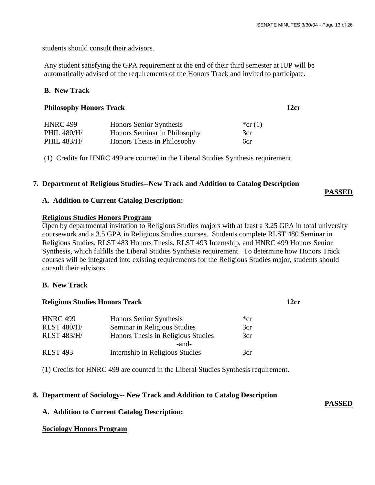students should consult their advisors.

 Any student satisfying the GPA requirement at the end of their third semester at IUP will be automatically advised of the requirements of the Honors Track and invited to participate.

# **B. New Track**

| <b>HNRC 499</b> | Honors Senior Synthesis      | *cr $(1)$ |
|-----------------|------------------------------|-----------|
| PHIL 480/H/     | Honors Seminar in Philosophy | 3cr       |
| PHIL 483/H/     | Honors Thesis in Philosophy  | 6cr       |

(1) Credits for HNRC 499 are counted in the Liberal Studies Synthesis requirement.

**Philosophy Honors Track 12cr**

### **7. Department of Religious Studies--New Track and Addition to Catalog Description**

### **A. Addition to Current Catalog Description:**

#### **Religious Studies Honors Program**

 Open by departmental invitation to Religious Studies majors with at least a 3.25 GPA in total university coursework and a 3.5 GPA in Religious Studies courses. Students complete RLST 480 Seminar in Religious Studies, RLST 483 Honors Thesis, RLST 493 Internship, and HNRC 499 Honors Senior Synthesis, which fulfills the Liberal Studies Synthesis requirement. To determine how Honors Track courses will be integrated into existing requirements for the Religious Studies major, students should consult their advisors.

#### **B. New Track**

| <b>Religious Studies Honors Track</b> | 12cr |
|---------------------------------------|------|
|                                       |      |

| <b>HNRC 499</b>    | Honors Senior Synthesis            | $*_{cr}$ |
|--------------------|------------------------------------|----------|
| <b>RLST 480/H/</b> | Seminar in Religious Studies       | 3cr      |
| <b>RLST 483/H/</b> | Honors Thesis in Religious Studies | 3cr      |
|                    | -and-                              |          |
| <b>RLST 493</b>    | Internship in Religious Studies    | 3cr.     |

(1) Credits for HNRC 499 are counted in the Liberal Studies Synthesis requirement.

## **8. Department of Sociology-- New Track and Addition to Catalog Description**

## **A. Addition to Current Catalog Description:**

#### **Sociology Honors Program**

**PASSED**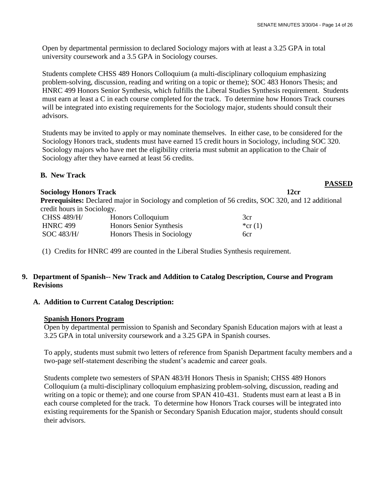Open by departmental permission to declared Sociology majors with at least a 3.25 GPA in total university coursework and a 3.5 GPA in Sociology courses.

 Students complete CHSS 489 Honors Colloquium (a multi-disciplinary colloquium emphasizing problem-solving, discussion, reading and writing on a topic or theme); SOC 483 Honors Thesis; and HNRC 499 Honors Senior Synthesis, which fulfills the Liberal Studies Synthesis requirement. Students must earn at least a C in each course completed for the track. To determine how Honors Track courses will be integrated into existing requirements for the Sociology major, students should consult their advisors.

 Students may be invited to apply or may nominate themselves. In either case, to be considered for the Sociology Honors track, students must have earned 15 credit hours in Sociology, including SOC 320. Sociology majors who have met the eligibility criteria must submit an application to the Chair of Sociology after they have earned at least 56 credits.

### **B. New Track**

### **Sociology Honors Track 12cr**

 **Prerequisites:** Declared major in Sociology and completion of 56 credits, SOC 320, and 12 additional credit hours in Sociology.

| <b>CHSS 489/H/</b> | Honors Colloquium          | 3cr       |
|--------------------|----------------------------|-----------|
| <b>HNRC 499</b>    | Honors Senior Synthesis    | *cr $(1)$ |
| SOC 483/H/         | Honors Thesis in Sociology | 6cr       |

## (1) Credits for HNRC 499 are counted in the Liberal Studies Synthesis requirement.

## **9. Department of Spanish-- New Track and Addition to Catalog Description, Course and Program Revisions**

## **A. Addition to Current Catalog Description:**

#### **Spanish Honors Program**

 Open by departmental permission to Spanish and Secondary Spanish Education majors with at least a 3.25 GPA in total university coursework and a 3.25 GPA in Spanish courses.

 To apply, students must submit two letters of reference from Spanish Department faculty members and a two-page self-statement describing the student's academic and career goals.

 Students complete two semesters of SPAN 483/H Honors Thesis in Spanish; CHSS 489 Honors Colloquium (a multi-disciplinary colloquium emphasizing problem-solving, discussion, reading and writing on a topic or theme); and one course from SPAN 410-431. Students must earn at least a B in each course completed for the track. To determine how Honors Track courses will be integrated into existing requirements for the Spanish or Secondary Spanish Education major, students should consult their advisors.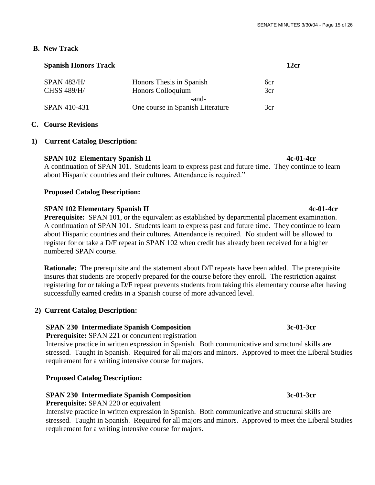### **B. New Track**

| SPAN 483/H/        | Honors Thesis in Spanish         | 6cr |
|--------------------|----------------------------------|-----|
| <b>CHSS 489/H/</b> | Honors Colloquium                | 3cr |
|                    | -and-                            |     |
| SPAN 410-431       | One course in Spanish Literature | 3cr |

## **C. Course Revisions**

## **1) Current Catalog Description:**

## **SPAN 102 Elementary Spanish II 4c-01-4cr**

 A continuation of SPAN 101. Students learn to express past and future time. They continue to learn about Hispanic countries and their cultures. Attendance is required."

### **Proposed Catalog Description:**

## **SPAN 102 Elementary Spanish II 4c-01-4cr**

**Prerequisite:** SPAN 101, or the equivalent as established by departmental placement examination. A continuation of SPAN 101. Students learn to express past and future time. They continue to learn about Hispanic countries and their cultures. Attendance is required. No student will be allowed to register for or take a D/F repeat in SPAN 102 when credit has already been received for a higher numbered SPAN course.

**Rationale:** The prerequisite and the statement about D/F repeats have been added. The prerequisite insures that students are properly prepared for the course before they enroll. The restriction against registering for or taking a D/F repeat prevents students from taking this elementary course after having successfully earned credits in a Spanish course of more advanced level.

## **2) Current Catalog Description:**

## **SPAN 230 Intermediate Spanish Composition** 3c-01-3cr

 **Prerequisite:** SPAN 221 or concurrent registration

 Intensive practice in written expression in Spanish. Both communicative and structural skills are stressed. Taught in Spanish. Required for all majors and minors. Approved to meet the Liberal Studies requirement for a writing intensive course for majors.

#### **Proposed Catalog Description:**

## **SPAN 230 Intermediate Spanish Composition 3c-01-3cr**

 **Prerequisite:** SPAN 220 or equivalent

 Intensive practice in written expression in Spanish. Both communicative and structural skills are stressed. Taught in Spanish. Required for all majors and minors. Approved to meet the Liberal Studies requirement for a writing intensive course for majors.

**Spanish Honors Track 12cr**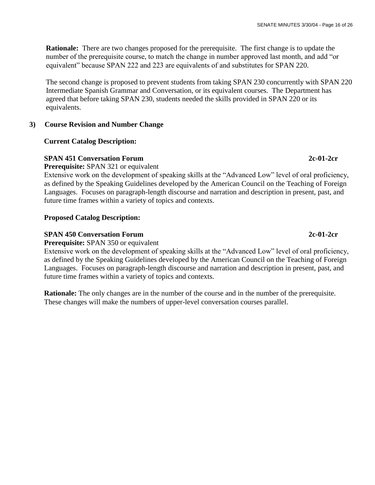**Rationale:** There are two changes proposed for the prerequisite. The first change is to update the number of the prerequisite course, to match the change in number approved last month, and add "or equivalent" because SPAN 222 and 223 are equivalents of and substitutes for SPAN 220.

 The second change is proposed to prevent students from taking SPAN 230 concurrently with SPAN 220 Intermediate Spanish Grammar and Conversation, or its equivalent courses. The Department has agreed that before taking SPAN 230, students needed the skills provided in SPAN 220 or its equivalents.

# **3) Course Revision and Number Change**

# **Current Catalog Description:**

# **SPAN 451 Conversation Forum 2c-01-2cr**

 **Prerequisite:** SPAN 321 or equivalent

Extensive work on the development of speaking skills at the "Advanced Low" level of oral proficiency, as defined by the Speaking Guidelines developed by the American Council on the Teaching of Foreign Languages. Focuses on paragraph-length discourse and narration and description in present, past, and future time frames within a variety of topics and contexts.

# **Proposed Catalog Description:**

# **SPAN 450 Conversation Forum 2c-01-2cr**

 **Prerequisite:** SPAN 350 or equivalent

 Extensive work on the development of speaking skills at the "Advanced Low" level of oral proficiency, as defined by the Speaking Guidelines developed by the American Council on the Teaching of Foreign Languages. Focuses on paragraph-length discourse and narration and description in present, past, and future time frames within a variety of topics and contexts.

 **Rationale:** The only changes are in the number of the course and in the number of the prerequisite. These changes will make the numbers of upper-level conversation courses parallel.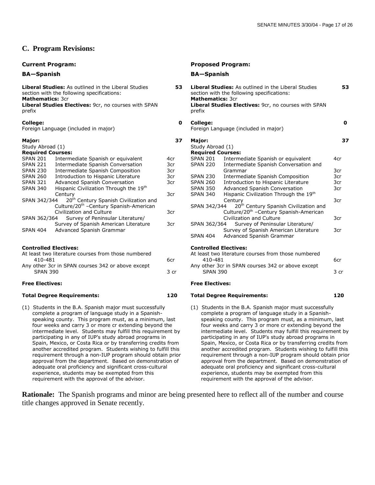#### **C. Program Revisions:**

**Liberal Studies:** As outlined in the Liberal Studies section with the following specifications: **Mathematics:** 3cr **Liberal Studies Electives:** 9cr, no courses with SPAN prefix

#### **College:**

Foreign Language (included in major)

#### **Major:**

| Major:                   |                                                    |
|--------------------------|----------------------------------------------------|
| Study Abroad (1)         |                                                    |
| <b>Required Courses:</b> |                                                    |
| <b>SPAN 201</b>          | Intermediate Spanish or equivalent                 |
| <b>SPAN 221</b>          | Intermediate Spanish Conversation                  |
| <b>SPAN 230</b>          | Intermediate Spanish Composition                   |
| <b>SPAN 260</b>          | Introduction to Hispanic Literature                |
| <b>SPAN 321</b>          | Advanced Spanish Conversation                      |
| <b>SPAN 340</b>          | Hispanic Civilization Through the 19th             |
|                          | Century                                            |
| SPAN 342/344             | 20 <sup>th</sup> Century Spanish Civilization and  |
|                          | Culture/20 <sup>th</sup> -Century Spanish-American |
|                          | Civilization and Culture                           |
| SPAN 362/364             | Survey of Peninsular Literature/                   |
|                          | Survey of Spanish American Literature              |
| <b>SPAN 404</b>          | Advanced Spanish Grammar                           |

#### **Controlled Electives:**

| At least two literature courses from those numbered |       |
|-----------------------------------------------------|-------|
| 410-481                                             | 6cr.  |
| Any other 3cr in SPAN courses 342 or above except   |       |
| <b>SPAN 390</b>                                     | .3 cr |
|                                                     |       |

#### **Total Degree Requirements: 120 Total Degree Requirements: 120**

(1) Students in the B.A. Spanish major must successfully complete a program of language study in a Spanish speaking county. This program must, as a minimum, last four weeks and carry 3 or more cr extending beyond the intermediate level. Students may fulfill this requirement by participating in any of IUP's study abroad programs in Spain, Mexico, or Costa Rica or by transferring credits from another accredited program. Students wishing to fulfill this requirement through a non-IUP program should obtain prior approval from the department. Based on demonstration of adequate oral proficiency and significant cross-cultural experience, students may be exempted from this requirement with the approval of the advisor.

#### **Current Program: Proposed Program:**

#### **BA—Spanish BA—Spanish**

4cr 3cr 3cr 3cr 3cr 3cr

3cr 3cr

| 53         | <b>Liberal Studies:</b> As outlined in the Liberal Studies<br>section with the following specifications:<br><b>Mathematics: 3cr</b><br>Liberal Studies Electives: 9cr, no courses with SPAN<br>prefix | 53   |
|------------|-------------------------------------------------------------------------------------------------------------------------------------------------------------------------------------------------------|------|
| 0          | College:<br>Foreign Language (included in major)                                                                                                                                                      | 0    |
| 37         | Major:<br>Study Abroad (1)<br><b>Required Courses:</b>                                                                                                                                                | 37   |
| 4cr<br>3cr | SPAN 201<br>Intermediate Spanish or equivalent<br><b>SPAN 220</b><br>Intermediate Spanish Conversation and                                                                                            | 4cr  |
| 3cr        | Grammar                                                                                                                                                                                               | 3cr  |
| 3cr        | <b>SPAN 230</b><br>Intermediate Spanish Composition                                                                                                                                                   | 3cr  |
| 3cr        | SPAN 260<br>Introduction to Hispanic Literature                                                                                                                                                       | 3cr  |
|            | <b>SPAN 350</b><br>Advanced Spanish Conversation                                                                                                                                                      | 3cr  |
| 3cr        | Hispanic Civilization Through the 19th<br><b>SPAN 340</b><br>Century                                                                                                                                  | 3cr  |
|            | 20 <sup>th</sup> Century Spanish Civilization and<br>SPAN 342/344                                                                                                                                     |      |
| 3cr        | Culture/20 <sup>th</sup> -Century Spanish-American<br><b>Civilization and Culture</b>                                                                                                                 | 3cr  |
| 3cr        | SPAN 362/364<br>Survey of Peninsular Literature/                                                                                                                                                      |      |
|            | Survey of Spanish American Literature<br>Advanced Spanish Grammar<br><b>SPAN 404</b>                                                                                                                  | 3cr  |
|            | <b>Controlled Electives:</b><br>At least two literature courses from those numbered                                                                                                                   |      |
| 6cr        | 410-481                                                                                                                                                                                               | 6cr  |
|            | Any other 3cr in SPAN courses 342 or above except                                                                                                                                                     |      |
| 3 cr       | <b>SPAN 390</b>                                                                                                                                                                                       | 3 cr |

#### **Free Electives: Free Electives:**

(1) Students in the B.A. Spanish major must successfully complete a program of language study in a Spanish speaking county. This program must, as a minimum, last four weeks and carry 3 or more cr extending beyond the intermediate level. Students may fulfill this requirement by participating in any of IUP's study abroad programs in Spain, Mexico, or Costa Rica or by transferring credits from another accredited program. Students wishing to fulfill this requirement through a non-IUP program should obtain prior approval from the department. Based on demonstration of adequate oral proficiency and significant cross-cultural experience, students may be exempted from this requirement with the approval of the advisor.

**Rationale:** The Spanish programs and minor are being presented here to reflect all of the number and course title changes approved in Senate recently.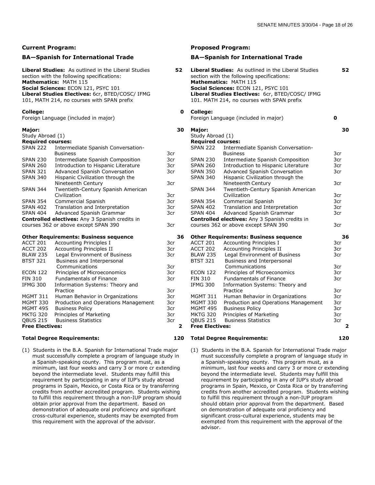#### **BA—Spanish for International Trade BA—Spanish for International Trade**

#### **College:**

#### **Major:**

| Study Abroad (1)                                      |                                     |  |  |  |
|-------------------------------------------------------|-------------------------------------|--|--|--|
| <b>Required courses:</b>                              |                                     |  |  |  |
| SPAN 222                                              | Intermediate Spanish Conversation-  |  |  |  |
|                                                       | <b>Business</b>                     |  |  |  |
| <b>SPAN 230</b>                                       | Intermediate Spanish Composition    |  |  |  |
| <b>SPAN 260</b>                                       | Introduction to Hispanic Literature |  |  |  |
| <b>SPAN 321</b>                                       | Advanced Spanish Conversation       |  |  |  |
| <b>SPAN 340</b>                                       | Hispanic Civilization through the   |  |  |  |
|                                                       | Nineteenth Century                  |  |  |  |
| <b>SPAN 344</b>                                       | Twentieth-Century Spanish American  |  |  |  |
|                                                       | Civilization                        |  |  |  |
| <b>SPAN 354</b>                                       | Commercial Spanish                  |  |  |  |
| SPAN 402                                              | Translation and Interpretation      |  |  |  |
| SPAN 404                                              | Advanced Spanish Grammar            |  |  |  |
| <b>Controlled electives:</b> Any 3 Spanish credits in |                                     |  |  |  |
| courses 362 or above except SPAN 390                  |                                     |  |  |  |
|                                                       |                                     |  |  |  |
| <b>Other Requirements: Business sequence</b>          |                                     |  |  |  |

| ACCT 201               | Accounting Principles I              | 3cr |  |  |
|------------------------|--------------------------------------|-----|--|--|
| <b>ACCT 202</b>        | <b>Accounting Principles II</b>      | 3cr |  |  |
| <b>BLAW 235</b>        | <b>Legal Environment of Business</b> | 3cr |  |  |
| <b>BTST 321</b>        | Business and Interpersonal           |     |  |  |
|                        | Communications                       | 3cr |  |  |
| <b>ECON 122</b>        | Principles of Microeconomics         | 3cr |  |  |
| <b>FIN 310</b>         | <b>Fundamentals of Finance</b>       | 3cr |  |  |
| <b>IFMG 300</b>        | Information Systems: Theory and      |     |  |  |
|                        | Practice                             | 3cr |  |  |
| <b>MGMT 311</b>        | Human Behavior in Organizations      | 3cr |  |  |
| <b>MGMT 330</b>        | Production and Operations Management | 3cr |  |  |
| <b>MGMT 495</b>        | <b>Business Policy</b>               | 3cr |  |  |
| <b>MKTG 320</b>        | Principles of Marketing              | 3cr |  |  |
| <b>OBUS 215</b>        | <b>Business Statistics</b>           | 3cr |  |  |
| <b>Free Electives:</b> |                                      |     |  |  |

#### **Total Degree Requirements: 120 Total Degree Requirements: 120**

(1) Students in the B.A. Spanish for International Trade major must successfully complete a program of language study in a Spanish-speaking county. This program must, as a minimum, last four weeks and carry 3 or more cr extending beyond the intermediate level. Students may fulfill this requirement by participating in any of IUP's study abroad programs in Spain, Mexico, or Costa Rica or by transferring credits from another accredited program. Students wishing to fulfill this requirement through a non-IUP program should obtain prior approval from the department. Based on demonstration of adequate oral proficiency and significant cross-cultural experience, students may be exempted from this requirement with the approval of the advisor.

#### **Current Program: Proposed Program: Proposed Program:**

| Liberal Studies: As outlined in the Liberal Studies<br>section with the following specifications:<br>Mathematics: MATH 115<br>Social Sciences: ECON 121, PSYC 101<br>Liberal Studies Electives: 6cr, BTED/COSC/ IFMG<br>101, MATH 214, no courses with SPAN prefix |                                                                | 52                      |                                   | <b>Liberal Studies:</b> As outlined in the Liberal Studies<br>section with the following specifications:<br>Mathematics: MATH 115<br>Social Sciences: ECON 121, PSYC 101<br>Liberal Studies Electives: 6cr, BTED/COSC/ IFMG<br>101. MATH 214, no courses with SPAN prefix | 52                      |
|--------------------------------------------------------------------------------------------------------------------------------------------------------------------------------------------------------------------------------------------------------------------|----------------------------------------------------------------|-------------------------|-----------------------------------|---------------------------------------------------------------------------------------------------------------------------------------------------------------------------------------------------------------------------------------------------------------------------|-------------------------|
| College:                                                                                                                                                                                                                                                           | Foreign Language (included in major)                           | 0                       | <b>College:</b>                   | Foreign Language (included in major)                                                                                                                                                                                                                                      | 0                       |
| Major:                                                                                                                                                                                                                                                             |                                                                | 30                      | Major:                            |                                                                                                                                                                                                                                                                           | 30                      |
| Study Abroad (1)                                                                                                                                                                                                                                                   |                                                                |                         | Study Abroad (1)                  |                                                                                                                                                                                                                                                                           |                         |
| <b>Required courses:</b>                                                                                                                                                                                                                                           |                                                                |                         | <b>Required courses:</b>          |                                                                                                                                                                                                                                                                           |                         |
| <b>SPAN 222</b>                                                                                                                                                                                                                                                    | Intermediate Spanish Conversation-                             |                         | <b>SPAN 222</b>                   | Intermediate Spanish Conversation-                                                                                                                                                                                                                                        |                         |
|                                                                                                                                                                                                                                                                    | <b>Business</b>                                                | 3cr                     |                                   | <b>Business</b>                                                                                                                                                                                                                                                           | 3cr                     |
| <b>SPAN 230</b>                                                                                                                                                                                                                                                    | Intermediate Spanish Composition                               | 3cr                     | <b>SPAN 230</b>                   | Intermediate Spanish Composition                                                                                                                                                                                                                                          | 3cr                     |
| <b>SPAN 260</b>                                                                                                                                                                                                                                                    | Introduction to Hispanic Literature                            | 3cr                     | <b>SPAN 260</b>                   | Introduction to Hispanic Literature                                                                                                                                                                                                                                       | 3cr                     |
| <b>SPAN 321</b>                                                                                                                                                                                                                                                    | Advanced Spanish Conversation                                  | 3cr                     | <b>SPAN 350</b>                   | Advanced Spanish Conversation                                                                                                                                                                                                                                             | 3cr                     |
| <b>SPAN 340</b>                                                                                                                                                                                                                                                    | Hispanic Civilization through the                              |                         | <b>SPAN 340</b>                   | Hispanic Civilization through the                                                                                                                                                                                                                                         |                         |
|                                                                                                                                                                                                                                                                    | Nineteenth Century                                             | 3cr                     |                                   | Nineteenth Century                                                                                                                                                                                                                                                        | 3cr                     |
| SPAN 344                                                                                                                                                                                                                                                           | Twentieth-Century Spanish American                             |                         | <b>SPAN 344</b>                   | Twentieth-Century Spanish American                                                                                                                                                                                                                                        |                         |
|                                                                                                                                                                                                                                                                    | Civilization                                                   | 3cr                     |                                   | Civilization                                                                                                                                                                                                                                                              | 3cr                     |
| SPAN 354                                                                                                                                                                                                                                                           | <b>Commercial Spanish</b>                                      | 3cr                     | <b>SPAN 354</b>                   | Commercial Spanish                                                                                                                                                                                                                                                        | 3cr                     |
| SPAN 402                                                                                                                                                                                                                                                           | Translation and Interpretation                                 | 3cr                     | <b>SPAN 402</b>                   | Translation and Interpretation                                                                                                                                                                                                                                            | 3cr                     |
| SPAN 404                                                                                                                                                                                                                                                           | Advanced Spanish Grammar                                       | 3cr                     | <b>SPAN 404</b>                   | Advanced Spanish Grammar                                                                                                                                                                                                                                                  | 3cr                     |
|                                                                                                                                                                                                                                                                    | Controlled electives: Any 3 Spanish credits in                 |                         |                                   | <b>Controlled electives:</b> Any 3 Spanish credits in                                                                                                                                                                                                                     |                         |
|                                                                                                                                                                                                                                                                    | courses 362 or above except SPAN 390                           | 3cr                     |                                   | courses 362 or above except SPAN 390                                                                                                                                                                                                                                      | 3cr                     |
|                                                                                                                                                                                                                                                                    | <b>Other Requirements: Business sequence</b>                   | 36                      |                                   | <b>Other Requirements: Business sequence</b>                                                                                                                                                                                                                              | 36                      |
| ACCT 201                                                                                                                                                                                                                                                           | <b>Accounting Principles I</b>                                 | 3cr                     | <b>ACCT 201</b>                   | Accounting Principles I                                                                                                                                                                                                                                                   | 3cr                     |
| <b>ACCT 202</b>                                                                                                                                                                                                                                                    | Accounting Principles II                                       | 3cr                     | <b>ACCT 202</b>                   | Accounting Principles II                                                                                                                                                                                                                                                  | 3cr                     |
| <b>BLAW 235</b>                                                                                                                                                                                                                                                    | Legal Environment of Business                                  | 3cr                     | <b>BLAW 235</b>                   | Legal Environment of Business                                                                                                                                                                                                                                             | 3cr                     |
| <b>BTST 321</b>                                                                                                                                                                                                                                                    | Business and Interpersonal                                     |                         | <b>BTST 321</b>                   | Business and Interpersonal                                                                                                                                                                                                                                                |                         |
|                                                                                                                                                                                                                                                                    | Communications                                                 | 3cr                     |                                   | Communications                                                                                                                                                                                                                                                            | 3cr                     |
| <b>ECON 122</b><br>FIN 310                                                                                                                                                                                                                                         | Principles of Microeconomics<br><b>Fundamentals of Finance</b> | 3cr<br>3cr              | <b>ECON 122</b><br><b>FIN 310</b> | Principles of Microeconomics<br><b>Fundamentals of Finance</b>                                                                                                                                                                                                            | 3cr<br>3cr              |
| <b>IFMG 300</b>                                                                                                                                                                                                                                                    |                                                                |                         | <b>IFMG 300</b>                   |                                                                                                                                                                                                                                                                           |                         |
|                                                                                                                                                                                                                                                                    | Information Systems: Theory and<br>Practice                    | 3cr                     |                                   | Information Systems: Theory and<br>Practice                                                                                                                                                                                                                               | 3cr                     |
| MGMT 311                                                                                                                                                                                                                                                           | Human Behavior in Organizations                                | 3cr                     | <b>MGMT 311</b>                   | Human Behavior in Organizations                                                                                                                                                                                                                                           | 3cr                     |
| MGMT 330                                                                                                                                                                                                                                                           | Production and Operations Management                           | 3cr                     | <b>MGMT 330</b>                   | Production and Operations Management                                                                                                                                                                                                                                      | 3cr                     |
| MGMT 495                                                                                                                                                                                                                                                           | <b>Business Policy</b>                                         | 3cr                     | <b>MGMT 495</b>                   | <b>Business Policy</b>                                                                                                                                                                                                                                                    | 3cr                     |
| MKTG 320                                                                                                                                                                                                                                                           | Principles of Marketing                                        | 3cr                     | <b>MKTG 320</b>                   | Principles of Marketing                                                                                                                                                                                                                                                   | 3cr                     |
| <b>QBUS 215</b>                                                                                                                                                                                                                                                    | <b>Business Statistics</b>                                     | 3cr                     | <b>QBUS 215</b>                   | <b>Business Statistics</b>                                                                                                                                                                                                                                                | 3cr                     |
| <b>Free Electives:</b>                                                                                                                                                                                                                                             |                                                                | $\overline{\mathbf{2}}$ | <b>Free Electives:</b>            |                                                                                                                                                                                                                                                                           | $\overline{\mathbf{2}}$ |
|                                                                                                                                                                                                                                                                    |                                                                |                         |                                   |                                                                                                                                                                                                                                                                           |                         |

- 
- (1) Students in the B.A. Spanish for International Trade major must successfully complete a program of language study in a Spanish-speaking county. This program must, as a minimum, last four weeks and carry 3 or more cr extending beyond the intermediate level. Students may fulfill this requirement by participating in any of IUP's study abroad programs in Spain, Mexico, or Costa Rica or by transferring credits from another accredited program. Students wishing to fulfill this requirement through a non-IUP program should obtain prior approval from the department. Based on demonstration of adequate oral proficiency and significant cross-cultural experience, students may be exempted from this requirement with the approval of the advisor.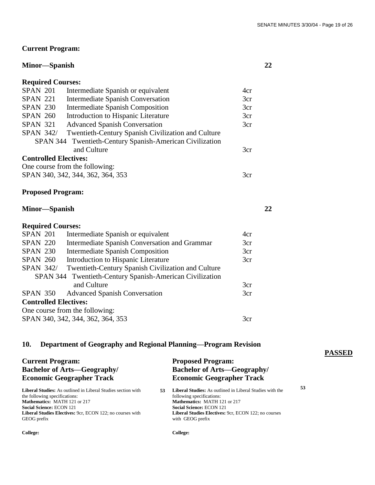**PASSED**

# **Current Program:**

# **Minor—Spanish 22**

| <b>Required Courses:</b>     |                                                          |     |
|------------------------------|----------------------------------------------------------|-----|
| <b>SPAN 201</b>              | Intermediate Spanish or equivalent                       | 4cr |
| <b>SPAN 221</b>              | <b>Intermediate Spanish Conversation</b>                 | 3cr |
| <b>SPAN 230</b>              | <b>Intermediate Spanish Composition</b>                  | 3cr |
| <b>SPAN 260</b>              | Introduction to Hispanic Literature                      | 3cr |
| <b>SPAN 321</b>              | <b>Advanced Spanish Conversation</b>                     | 3cr |
| <b>SPAN 342/</b>             | Twentieth-Century Spanish Civilization and Culture       |     |
|                              | SPAN 344 Twentieth-Century Spanish-American Civilization |     |
|                              | and Culture                                              | 3cr |
| <b>Controlled Electives:</b> |                                                          |     |
|                              | One course from the following:                           |     |
|                              | SPAN 340, 342, 344, 362, 364, 353                        | 3cr |

# **Proposed Program:**

| Minor—Spanish |  |
|---------------|--|
|               |  |

# **Required Courses:**

| <b>SPAN 201</b>                                          |  | Intermediate Spanish or equivalent                 | 4cr |  |  |  |  |
|----------------------------------------------------------|--|----------------------------------------------------|-----|--|--|--|--|
| <b>SPAN 220</b>                                          |  | Intermediate Spanish Conversation and Grammar      | 3cr |  |  |  |  |
| <b>SPAN 230</b>                                          |  | <b>Intermediate Spanish Composition</b>            | 3cr |  |  |  |  |
| <b>SPAN 260</b>                                          |  | Introduction to Hispanic Literature                | 3cr |  |  |  |  |
| <b>SPAN 342/</b>                                         |  | Twentieth-Century Spanish Civilization and Culture |     |  |  |  |  |
| SPAN 344 Twentieth-Century Spanish-American Civilization |  |                                                    |     |  |  |  |  |
|                                                          |  | and Culture                                        | 3cr |  |  |  |  |
|                                                          |  | SPAN 350 Advanced Spanish Conversation             | 3cr |  |  |  |  |
| <b>Controlled Electives:</b>                             |  |                                                    |     |  |  |  |  |
| One course from the following:                           |  |                                                    |     |  |  |  |  |
| SPAN 340, 342, 344, 362, 364, 353                        |  |                                                    |     |  |  |  |  |

# **10. Department of Geography and Regional Planning—Program Revision**

| <b>Current Program:</b>                                             | <b>Proposed Program:</b>           |                                                                 |  |
|---------------------------------------------------------------------|------------------------------------|-----------------------------------------------------------------|--|
| <b>Bachelor of Arts—Geography/</b>                                  | <b>Bachelor of Arts—Geography/</b> |                                                                 |  |
| <b>Economic Geographer Track</b>                                    | <b>Economic Geographer Track</b>   |                                                                 |  |
| <b>Liberal Studies:</b> As outlined in Liberal Studies section with |                                    | <b>Liberal Studies:</b> As outlined in Liberal Studies with the |  |
| the following specifications:                                       |                                    | following specifications:                                       |  |
| Mathematics: MATH 121 or 217                                        |                                    | Mathematics: MATH 121 or 217                                    |  |
| <b>Social Science: ECON 121</b>                                     |                                    | <b>Social Science: ECON 121</b>                                 |  |
| Liberal Studies Electives: 9cr, ECON 122; no courses with           |                                    | <b>Liberal Studies Electives: 9cr, ECON 122; no courses</b>     |  |
| GEOG prefix                                                         |                                    | with GEOG prefix                                                |  |
| College:                                                            |                                    | College:                                                        |  |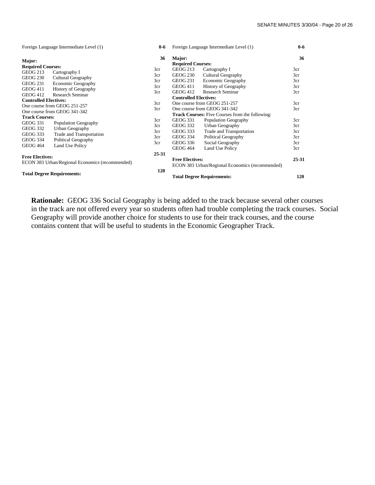| Foreign Language Intermediate Level (1)                                   |                             | $0-6$ | Foreign Language Intermediate Level (1)                                   |                             | $0-6$ |
|---------------------------------------------------------------------------|-----------------------------|-------|---------------------------------------------------------------------------|-----------------------------|-------|
| Major:                                                                    |                             | 36    | Major:<br><b>Required Courses:</b>                                        |                             | 36    |
| <b>Required Courses:</b>                                                  |                             | 3cr   | <b>GEOG 213</b>                                                           | Cartography I               | 3cr   |
| <b>GEOG 213</b>                                                           | Cartography I               | 3cr   | <b>GEOG 230</b>                                                           | Cultural Geography          | 3cr   |
| <b>GEOG 230</b>                                                           | Cultural Geography          | 3cr   | GEOG 231                                                                  | <b>Economic Geography</b>   | 3cr   |
| GEOG 231                                                                  | <b>Economic Geography</b>   | 3cr   | <b>GEOG 411</b>                                                           | <b>History of Geography</b> | 3cr   |
| <b>GEOG 411</b>                                                           | <b>History of Geography</b> | 3cr   | <b>GEOG 412</b>                                                           | Research Seminar            | 3cr   |
| GEOG 412                                                                  | Research Seminar            |       | <b>Controlled Electives:</b>                                              |                             |       |
| <b>Controlled Electives:</b>                                              |                             | 3cr   | One course from GEOG 251-257                                              |                             | 3cr   |
| One course from GEOG 251-257                                              |                             | 3cr   | One course from GEOG 341-342                                              |                             | 3cr   |
| One course from GEOG 341-342                                              |                             |       | <b>Track Courses:</b> Five Courses from the following:                    |                             |       |
|                                                                           | <b>Track Courses:</b>       |       | GEOG 331                                                                  | Population Geography        | 3cr   |
| <b>GEOG 331</b>                                                           | Population Geography        | 3cr   | <b>GEOG 332</b>                                                           | Urban Geography             | 3cr   |
| <b>GEOG 332</b>                                                           | Urban Geography             | 3cr   | <b>GEOG 333</b>                                                           | Trade and Transportation    | 3cr   |
| GEOG 333                                                                  | Trade and Transportation    | 3cr   | <b>GEOG 334</b>                                                           | Political Geography         | 3cr   |
| <b>GEOG 334</b>                                                           | Political Geography         | 3cr   | GEOG 336                                                                  | Social Geography            | 3cr   |
| <b>GEOG 464</b>                                                           | Land Use Policy             |       | <b>GEOG 464</b>                                                           | Land Use Policy             | 3cr   |
|                                                                           |                             | 25-31 |                                                                           |                             |       |
| <b>Free Electives:</b><br>ECON 383 Urban/Regional Economics (recommended) |                             |       | <b>Free Electives:</b><br>ECON 383 Urban/Regional Economics (recommended) |                             | 25-31 |
|                                                                           |                             |       |                                                                           |                             |       |
| <b>Total Degree Requirements:</b>                                         |                             | 120   | <b>Total Degree Requirements:</b>                                         |                             |       |
|                                                                           |                             |       |                                                                           |                             | 120   |

 **Rationale:** GEOG 336 Social Geography is being added to the track because several other courses in the track are not offered every year so students often had trouble completing the track courses. Social Geography will provide another choice for students to use for their track courses, and the course contains content that will be useful to students in the Economic Geographer Track.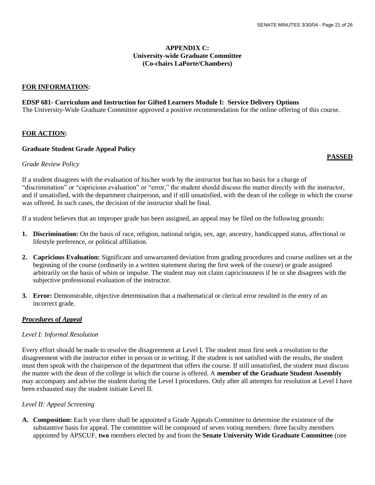#### **APPENDIX C: University-wide Graduate Committee (Co-chairs LaPorte/Chambers)**

#### **FOR INFORMATION:**

#### **EDSP 681- Curriculum and Instruction for Gifted Learners Module I: Service Delivery Options**

The University-Wide Graduate Committee approved a positive recommendation for the online offering of this course.

#### **FOR ACTION:**

#### **Graduate Student Grade Appeal Policy**

### **PASSED**

#### *Grade Review Policy*

If a student disagrees with the evaluation of his/her work by the instructor but has no basis for a charge of "discrimination" or "capricious evaluation" or "error," the student should discuss the matter directly with the instructor, and if unsatisfied, with the department chairperson, and if still unsatisfied, with the dean of the college in which the course was offered. In such cases, the decision of the instructor shall be final.

If a student believes that an improper grade has been assigned, an appeal may be filed on the following grounds:

- **1. Discrimination:** On the basis of race, religion, national origin, sex, age, ancestry, handicapped status, affectional or lifestyle preference, or political affiliation.
- **2. Capricious Evaluation:** Significant and unwarranted deviation from grading procedures and course outlines set at the beginning of the course (ordinarily in a written statement during the first week of the course) or grade assigned arbitrarily on the basis of whim or impulse. The student may not claim capriciousness if he or she disagrees with the subjective professional evaluation of the instructor.
- **3. Error:** Demonstrable, objective determination that a mathematical or clerical error resulted in the entry of an incorrect grade.

#### *Procedures of Appeal*

#### *Level I: Informal Resolution*

Every effort should be made to resolve the disagreement at Level I. The student must first seek a resolution to the disagreement with the instructor either in person or in writing. If the student is not satisfied with the results, the student must then speak with the chairperson of the department that offers the course. If still unsatisfied, the student must discuss the matter with the dean of the college in which the course is offered. A **member of the Graduate Student Assembly**  may accompany and advise the student during the Level I procedures. Only after all attempts for resolution at Level I have been exhausted may the student initiate Level II.

#### *Level II: Appeal Screening*

**A. Composition:** Each year there shall be appointed a Grade Appeals Committee to determine the existence of the substantive basis for appeal. The committee will be composed of seven voting members: three faculty members appointed by APSCUF, **two** members elected by and from the **Senate University Wide Graduate Committee** (one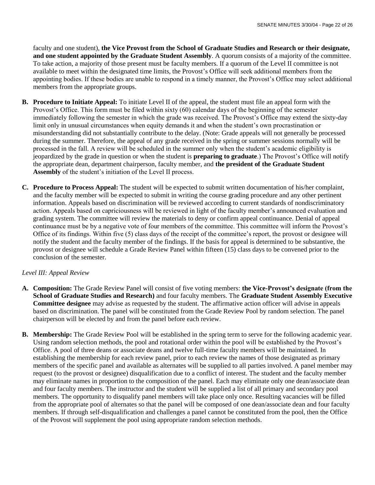faculty and one student), **the Vice Provost from the School of Graduate Studies and Research or their designate, and one student appointed by the Graduate Student Assembly**. A quorum consists of a majority of the committee. To take action, a majority of those present must be faculty members. If a quorum of the Level II committee is not available to meet within the designated time limits, the Provost's Office will seek additional members from the appointing bodies. If these bodies are unable to respond in a timely manner, the Provost's Office may select additional members from the appropriate groups.

- **B. Procedure to Initiate Appeal:** To initiate Level II of the appeal, the student must file an appeal form with the Provost's Office. This form must be filed within sixty (60) calendar days of the beginning of the semester immediately following the semester in which the grade was received. The Provost's Office may extend the sixty-day limit only in unusual circumstances when equity demands it and when the student's own procrastination or misunderstanding did not substantially contribute to the delay. (Note: Grade appeals will not generally be processed during the summer. Therefore, the appeal of any grade received in the spring or summer sessions normally will be processed in the fall. A review will be scheduled in the summer only when the student's academic eligibility is jeopardized by the grade in question or when the student is **preparing to graduate**.) The Provost's Office will notify the appropriate dean, department chairperson, faculty member, and **the president of the Graduate Student Assembly** of the student's initiation of the Level II process.
- **C. Procedure to Process Appeal:** The student will be expected to submit written documentation of his/her complaint, and the faculty member will be expected to submit in writing the course grading procedure and any other pertinent information. Appeals based on discrimination will be reviewed according to current standards of nondiscriminatory action. Appeals based on capriciousness will be reviewed in light of the faculty member's announced evaluation and grading system. The committee will review the materials to deny or confirm appeal continuance. Denial of appeal continuance must be by a negative vote of four members of the committee. This committee will inform the Provost's Office of its findings. Within five (5) class days of the receipt of the committee's report, the provost or designee will notify the student and the faculty member of the findings. If the basis for appeal is determined to be substantive, the provost or designee will schedule a Grade Review Panel within fifteen (15) class days to be convened prior to the conclusion of the semester.

#### *Level III: Appeal Review*

- **A. Composition:** The Grade Review Panel will consist of five voting members: **the Vice-Provost's designate (from the School of Graduate Studies and Research)** and four faculty members. The **Graduate Student Assembly Executive Committee designee** may advise as requested by the student. The affirmative action officer will advise in appeals based on discrimination. The panel will be constituted from the Grade Review Pool by random selection. The panel chairperson will be elected by and from the panel before each review.
- **B. Membership:** The Grade Review Pool will be established in the spring term to serve for the following academic year. Using random selection methods, the pool and rotational order within the pool will be established by the Provost's Office. A pool of three deans or associate deans and twelve full-time faculty members will be maintained. In establishing the membership for each review panel, prior to each review the names of those designated as primary members of the specific panel and available as alternates will be supplied to all parties involved. A panel member may request (to the provost or designee) disqualification due to a conflict of interest. The student and the faculty member may eliminate names in proportion to the composition of the panel. Each may eliminate only one dean/associate dean and four faculty members. The instructor and the student will be supplied a list of all primary and secondary pool members. The opportunity to disqualify panel members will take place only once. Resulting vacancies will be filled from the appropriate pool of alternates so that the panel will be composed of one dean/associate dean and four faculty members. If through self-disqualification and challenges a panel cannot be constituted from the pool, then the Office of the Provost will supplement the pool using appropriate random selection methods.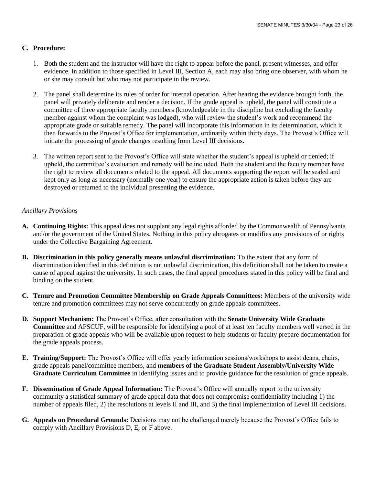### **C. Procedure:**

- 1. Both the student and the instructor will have the right to appear before the panel, present witnesses, and offer evidence. In addition to those specified in Level III, Section A, each may also bring one observer, with whom he or she may consult but who may not participate in the review.
- 2. The panel shall determine its rules of order for internal operation. After hearing the evidence brought forth, the panel will privately deliberate and render a decision. If the grade appeal is upheld, the panel will constitute a committee of three appropriate faculty members (knowledgeable in the discipline but excluding the faculty member against whom the complaint was lodged), who will review the student's work and recommend the appropriate grade or suitable remedy. The panel will incorporate this information in its determination, which it then forwards to the Provost's Office for implementation, ordinarily within thirty days. The Provost's Office will initiate the processing of grade changes resulting from Level III decisions.
- 3. The written report sent to the Provost's Office will state whether the student's appeal is upheld or denied; if upheld, the committee's evaluation and remedy will be included. Both the student and the faculty member have the right to review all documents related to the appeal. All documents supporting the report will be sealed and kept only as long as necessary (normally one year) to ensure the appropriate action is taken before they are destroyed or returned to the individual presenting the evidence.

#### *Ancillary Provisions*

- **A. Continuing Rights:** This appeal does not supplant any legal rights afforded by the Commonwealth of Pennsylvania and/or the government of the United States. Nothing in this policy abrogates or modifies any provisions of or rights under the Collective Bargaining Agreement.
- **B. Discrimination in this policy generally means unlawful discrimination:** To the extent that any form of discrimination identified in this definition is not unlawful discrimination, this definition shall not be taken to create a cause of appeal against the university. In such cases, the final appeal procedures stated in this policy will be final and binding on the student.
- **C. Tenure and Promotion Committee Membership on Grade Appeals Committees:** Members of the university wide tenure and promotion committees may not serve concurrently on grade appeals committees.
- **D. Support Mechanism:** The Provost's Office, after consultation with the **Senate University Wide Graduate Committee** and APSCUF, will be responsible for identifying a pool of at least ten faculty members well versed in the preparation of grade appeals who will be available upon request to help students or faculty prepare documentation for the grade appeals process.
- **E. Training/Support:** The Provost's Office will offer yearly information sessions/workshops to assist deans, chairs, grade appeals panel/committee members, and **members of the Graduate Student Assembly/University Wide Graduate Curriculum Committee** in identifying issues and to provide guidance for the resolution of grade appeals.
- **F. Dissemination of Grade Appeal Information:** The Provost's Office will annually report to the university community a statistical summary of grade appeal data that does not compromise confidentiality including 1) the number of appeals filed, 2) the resolutions at levels II and III, and 3) the final implementation of Level III decisions.
- **G. Appeals on Procedural Grounds:** Decisions may not be challenged merely because the Provost's Office fails to comply with Ancillary Provisions D, E, or F above.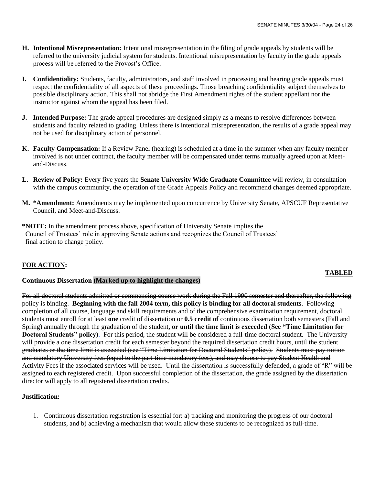- **H. Intentional Misrepresentation:** Intentional misrepresentation in the filing of grade appeals by students will be referred to the university judicial system for students. Intentional misrepresentation by faculty in the grade appeals process will be referred to the Provost's Office.
- **I. Confidentiality:** Students, faculty, administrators, and staff involved in processing and hearing grade appeals must respect the confidentiality of all aspects of these proceedings. Those breaching confidentiality subject themselves to possible disciplinary action. This shall not abridge the First Amendment rights of the student appellant nor the instructor against whom the appeal has been filed.
- **J. Intended Purpose:** The grade appeal procedures are designed simply as a means to resolve differences between students and faculty related to grading. Unless there is intentional misrepresentation, the results of a grade appeal may not be used for disciplinary action of personnel.
- **K. Faculty Compensation:** If a Review Panel (hearing) is scheduled at a time in the summer when any faculty member involved is not under contract, the faculty member will be compensated under terms mutually agreed upon at Meetand-Discuss.
- **L. Review of Policy:** Every five years the **Senate University Wide Graduate Committee** will review, in consultation with the campus community, the operation of the Grade Appeals Policy and recommend changes deemed appropriate.
- **M. \*Amendment:** Amendments may be implemented upon concurrence by University Senate, APSCUF Representative Council, and Meet-and-Discuss.
- **\*NOTE:** In the amendment process above, specification of University Senate implies the Council of Trustees' role in approving Senate actions and recognizes the Council of Trustees' final action to change policy.

#### **FOR ACTION:**

# **TABLED**

#### **Continuous Dissertation (Marked up to highlight the changes)**

For all doctoral students admitted or commencing course work during the Fall 1990 semester and thereafter, the following policy is binding. **Beginning with the fall 2004 term, this policy is binding for all doctoral students**. Following completion of all course, language and skill requirements and of the comprehensive examination requirement, doctoral students must enroll for at least **one** credit of dissertation or **0.5 credit of** continuous dissertation both semesters (Fall and Spring) annually through the graduation of the student**, or until the time limit is exceeded (See "Time Limitation for Doctoral Students" policy**). For this period, the student will be considered a full-time doctoral student. The University will provide a one dissertation credit for each semester beyond the required dissertation credit hours, until the student graduates or the time limit is exceeded (see "Time Limitation for Doctoral Students" policy). Students must pay tuition and mandatory University fees (equal to the part-time mandatory fees), and may choose to pay Student Health and Activity Fees if the associated services will be used. Until the dissertation is successfully defended, a grade of "R" will be assigned to each registered credit. Upon successful completion of the dissertation, the grade assigned by the dissertation director will apply to all registered dissertation credits.

#### **Justification:**

1. Continuous dissertation registration is essential for: a) tracking and monitoring the progress of our doctoral students, and b) achieving a mechanism that would allow these students to be recognized as full-time.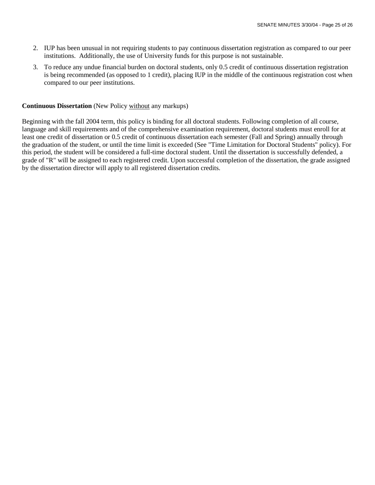- 2. IUP has been unusual in not requiring students to pay continuous dissertation registration as compared to our peer institutions. Additionally, the use of University funds for this purpose is not sustainable.
- 3. To reduce any undue financial burden on doctoral students, only 0.5 credit of continuous dissertation registration is being recommended (as opposed to 1 credit), placing IUP in the middle of the continuous registration cost when compared to our peer institutions.

#### **Continuous Dissertation** (New Policy without any markups)

Beginning with the fall 2004 term, this policy is binding for all doctoral students. Following completion of all course, language and skill requirements and of the comprehensive examination requirement, doctoral students must enroll for at least one credit of dissertation or 0.5 credit of continuous dissertation each semester (Fall and Spring) annually through the graduation of the student, or until the time limit is exceeded (See "Time Limitation for Doctoral Students" policy). For this period, the student will be considered a full-time doctoral student. Until the dissertation is successfully defended, a grade of "R" will be assigned to each registered credit. Upon successful completion of the dissertation, the grade assigned by the dissertation director will apply to all registered dissertation credits.